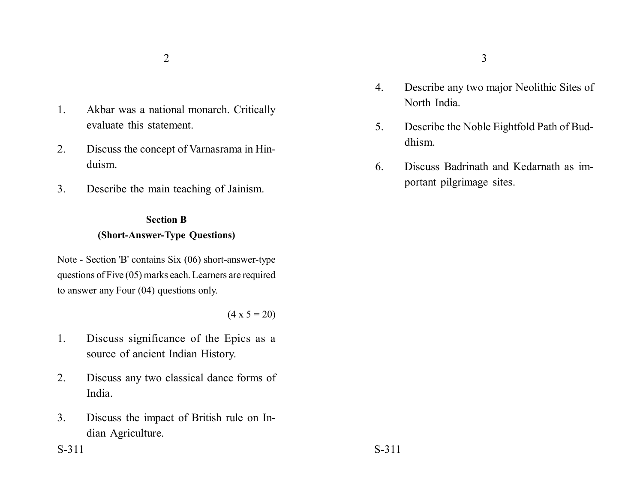- 1. Akbar was a national monarch. Critically evaluate this statement.
- 2. Discuss the concept of Varnasrama in Hinduism.
- 3. Describe the main teaching of Jainism.

## **Section B (Short-Answer-Type Questions)**

Note - Section 'B' contains Six (06) short-answer-type questions of Five (05) marks each. Learners are required to answer any Four (04) questions only.

### $(4 \times 5 = 20)$

- 1. Discuss significance of the Epics as a source of ancient Indian History.
- 2. Discuss any two classical dance forms of India.
- 3. Discuss the impact of British rule on Indian Agriculture.
- 4. Describe any two major Neolithic Sites of North India.
- 5. Describe the Noble Eightfold Path of Buddhism.
- 6. Discuss Badrinath and Kedarnath as important pilgrimage sites.

 $S-311$   $S-311$